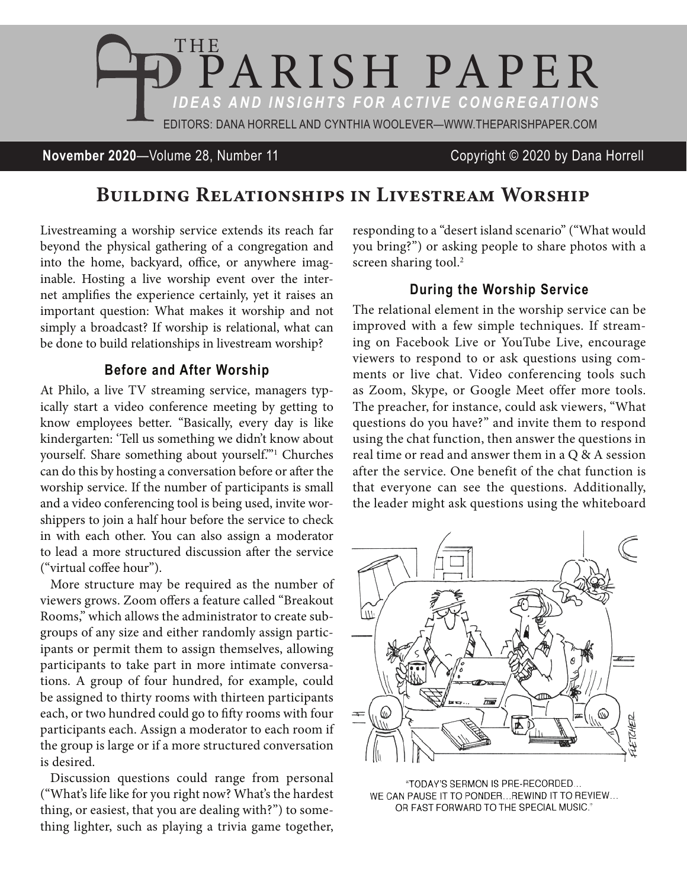

**November 2020**—Volume 28, Number 11 Copyright © 2020 by Dana Horrell

# BUILDING RELATIONSHIPS IN LIVESTREAM WORSHIP

Livestreaming a worship service extends its reach far beyond the physical gathering of a congregation and into the home, backyard, office, or anywhere imaginable. Hosting a live worship event over the internet amplifies the experience certainly, yet it raises an important question: What makes it worship and not simply a broadcast? If worship is relational, what can be done to build relationships in livestream worship?

#### **Before and After Worship**

At Philo, a live TV streaming service, managers typically start a video conference meeting by getting to know employees better. "Basically, every day is like kindergarten: 'Tell us something we didn't know about yourself. Share something about yourself.'"1 Churches can do this by hosting a conversation before or after the worship service. If the number of participants is small and a video conferencing tool is being used, invite worshippers to join a half hour before the service to check in with each other. You can also assign a moderator to lead a more structured discussion after the service ("virtual coffee hour").

More structure may be required as the number of viewers grows. Zoom offers a feature called "Breakout Rooms," which allows the administrator to create subgroups of any size and either randomly assign participants or permit them to assign themselves, allowing participants to take part in more intimate conversations. A group of four hundred, for example, could be assigned to thirty rooms with thirteen participants each, or two hundred could go to fifty rooms with four participants each. Assign a moderator to each room if the group is large or if a more structured conversation is desired.

Discussion questions could range from personal ("What's life like for you right now? What's the hardest thing, or easiest, that you are dealing with?") to something lighter, such as playing a trivia game together, responding to a "desert island scenario" ("What would you bring?") or asking people to share photos with a screen sharing tool.<sup>2</sup>

## **During the Worship Service**

The relational element in the worship service can be improved with a few simple techniques. If streaming on Facebook Live or YouTube Live, encourage viewers to respond to or ask questions using comments or live chat. Video conferencing tools such as Zoom, Skype, or Google Meet offer more tools. The preacher, for instance, could ask viewers, "What questions do you have?" and invite them to respond using the chat function, then answer the questions in real time or read and answer them in a Q & A session after the service. One benefit of the chat function is that everyone can see the questions. Additionally, the leader might ask questions using the whiteboard



"TODAY'S SERMON IS PRE-RECORDED... WE CAN PAUSE IT TO PONDER... REWIND IT TO REVIEW... OR FAST FORWARD TO THE SPECIAL MUSIC."